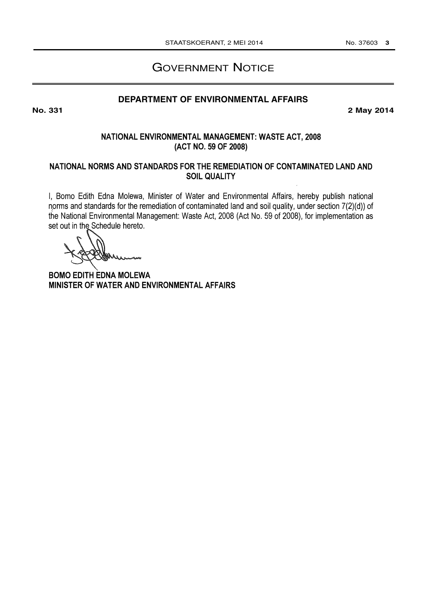# **GOVERNMENT NOTICE**

## **DEPARTMENT OF ENVIRONMENTAL AFFAIRS**

2 May 2014

### NATIONAL ENVIRONMENTAL MANAGEMENT: WASTE ACT, 2008 (ACT NO. 59 OF 2008)

### NATIONAL NORMS AND STANDARDS FOR THE REMEDIATION OF CONTAMINATED LAND AND **SOIL QUALITY**

I, Bomo Edith Edna Molewa, Minister of Water and Environmental Affairs, hereby publish national norms and standards for the remediation of contaminated land and soil quality, under section 7(2)(d)) of the National Environmental Management: Waste Act, 2008 (Act No. 59 of 2008), for implementation as set out in the Schedule hereto.

**BOMO EDITH EDNA MOLEWA** MINISTER OF WATER AND ENVIRONMENTAL AFFAIRS

**No. 331**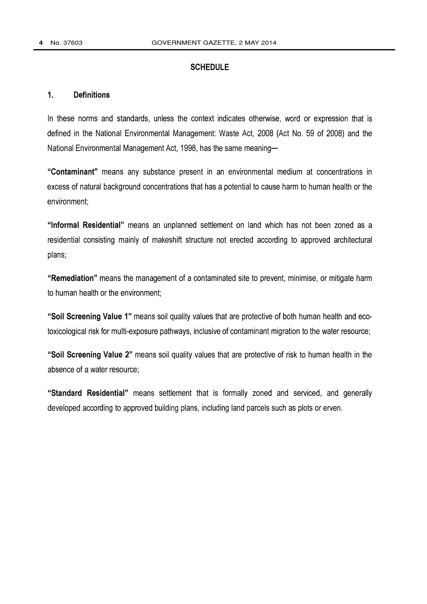### **SCHEDULE**

#### $\mathbf{1}$ **Definitions**

In these norms and standards, unless the context indicates otherwise, word or expression that is defined in the National Environmental Management: Waste Act, 2008 (Act No. 59 of 2008) and the National Environmental Management Act, 1998, has the same meaning-

"Contaminant" means any substance present in an environmental medium at concentrations in excess of natural background concentrations that has a potential to cause harm to human health or the environment:

"Informal Residential" means an unplanned settlement on land which has not been zoned as a residential consisting mainly of makeshift structure not erected according to approved architectural plans;

"Remediation" means the management of a contaminated site to prevent, minimise, or mitigate harm to human health or the environment;

"Soil Screening Value 1" means soil quality values that are protective of both human health and ecotoxicological risk for multi-exposure pathways, inclusive of contaminant migration to the water resource;

"Soil Screening Value 2" means soil quality values that are protective of risk to human health in the absence of a water resource;

"Standard Residential" means settlement that is formally zoned and serviced, and generally developed according to approved building plans, including land parcels such as plots or erven.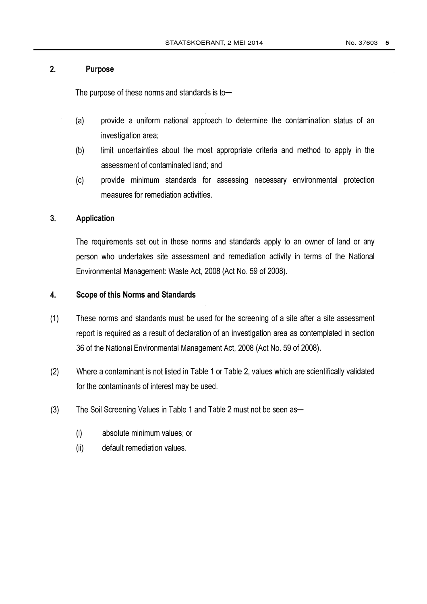#### $2.$ Purpose

The purpose of these norms and standards is to-

- $(a)$ provide a uniform national approach to determine the contamination status of an investigation area;
- limit uncertainties about the most appropriate criteria and method to apply in the  $(b)$ assessment of contaminated land; and
- $(c)$ provide minimum standards for assessing necessary environmental protection measures for remediation activities.

#### $3.$ **Application**

The requirements set out in these norms and standards apply to an owner of land or any person who undertakes site assessment and remediation activity in terms of the National Environmental Management: Waste Act, 2008 (Act No. 59 of 2008).

#### $\overline{4}$ . **Scope of this Norms and Standards**

- $(1)$ These norms and standards must be used for the screening of a site after a site assessment report is required as a result of declaration of an investigation area as contemplated in section 36 of the National Environmental Management Act, 2008 (Act No. 59 of 2008).
- $(2)$ Where a contaminant is not listed in Table 1 or Table 2, values which are scientifically validated for the contaminants of interest may be used.
- $(3)$ The Soil Screening Values in Table 1 and Table 2 must not be seen as-
	- $(i)$ absolute minimum values; or
	- default remediation values.  $(ii)$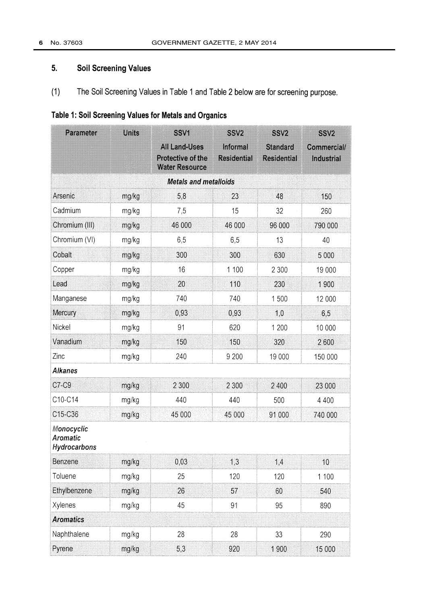#### $5<sub>1</sub>$ **Soil Screening Values**

 $(1)$ The Soil Screening Values in Table 1 and Table 2 below are for screening purpose.

# Table 1: Soil Screening Values for Metals and Organics

| Parameter                              | <b>Units</b> | SSV1<br>All Land-Uses<br>Protective of the<br><b>Water Resource</b> | SSV <sub>2</sub><br>Informal<br><b>Residential</b> | SSV <sub>2</sub><br><b>Standard</b><br><b>Residential</b> | SSV <sub>2</sub><br>Commercial/<br>Industrial |
|----------------------------------------|--------------|---------------------------------------------------------------------|----------------------------------------------------|-----------------------------------------------------------|-----------------------------------------------|
|                                        |              |                                                                     |                                                    |                                                           |                                               |
| Arsenic                                | mg/kg        | 5,8                                                                 | 23                                                 | 48                                                        | 150                                           |
| Cadmium                                | mg/kg        | 7,5                                                                 | 15                                                 | 32                                                        | 260                                           |
| Chromium (III)                         | mg/kg        | 46 000                                                              | 46 000                                             | 96 000                                                    | 790 000                                       |
| Chromium (VI)                          | mg/kg        | 6,5                                                                 | 6,5                                                | 13                                                        | 40                                            |
| Cobalt                                 | mg/kg        | 300                                                                 | 300                                                | 630                                                       | 5 0 0 0                                       |
| Copper                                 | mg/kg        | 16                                                                  | 1 100                                              | 2 3 0 0                                                   | 19 000                                        |
| Lead                                   | mg/kg        | 20                                                                  | 110                                                | 230                                                       | 1900                                          |
| Manganese                              | mg/kg        | 740                                                                 | 740                                                | 1500                                                      | 12 000                                        |
| Mercury                                | mg/kg        | 0,93                                                                | 0,93                                               | 1,0                                                       | 6,5                                           |
| Nickel                                 | mg/kg        | 91                                                                  | 620                                                | 1 200                                                     | 10 000                                        |
| Vanadium                               | mg/kg        | 150                                                                 | 150                                                | 320                                                       | 2600                                          |
| Zinc                                   | mg/kg        | 240                                                                 | 9 2 0 0                                            | 19 000                                                    | 150 000                                       |
| <b>Alkanes</b>                         |              |                                                                     |                                                    |                                                           |                                               |
| C7-C9                                  | mg/kg        | 2 3 0 0                                                             | 2 3 0 0                                            | 2 400                                                     | 23 000                                        |
| C10-C14                                | mg/kg        | 440                                                                 | 440                                                | 500                                                       | 4 4 0 0                                       |
| C15-C36                                | mg/kg        | 45 000                                                              | 45 000                                             | 91 000                                                    | 740 000                                       |
| Monocyclic<br>Aromatic<br>Hydrocarbons |              |                                                                     |                                                    |                                                           |                                               |
| <b>Benzene</b>                         | mg/kg        | 0,03                                                                | 1,3                                                | 1,4                                                       | 10                                            |
| Toluene                                | mg/kg        | 25                                                                  | 120                                                | 120                                                       | 1 100                                         |
| Ethylbenzene                           | mg/kg        | 26                                                                  | 57                                                 | 60                                                        | 540                                           |
| Xylenes                                | mg/kg        | 45                                                                  | 91                                                 | 95                                                        | 890                                           |
| <b>Aromatics</b>                       |              |                                                                     |                                                    |                                                           |                                               |
| Naphthalene                            | mg/kg        | 28                                                                  | 28                                                 | 33                                                        | 290                                           |
| Pyrene                                 | mg/kg        | 5,3                                                                 | 920                                                | 1900                                                      | 15 000                                        |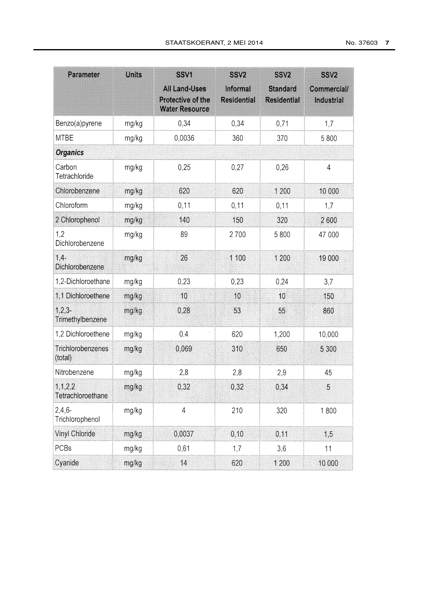| Parameter                       | <b>Units</b> | SSV1<br><b>All Land-Uses</b><br>Protective of the<br><b>Water Resource</b> | SSV <sub>2</sub><br>Informal<br><b>Residential</b> | SSV <sub>2</sub><br><b>Standard</b><br><b>Residential</b> | <b>SSV2</b><br>Commercial/<br>Industrial |
|---------------------------------|--------------|----------------------------------------------------------------------------|----------------------------------------------------|-----------------------------------------------------------|------------------------------------------|
| Benzo(a)pyrene                  | mg/kg        | 0,34                                                                       | 0,34                                               | 0,71                                                      | 1,7                                      |
| <b>MTBE</b>                     | mg/kg        | 0,0036                                                                     | 360                                                | 370                                                       | 5800                                     |
| <b>Organics</b>                 |              |                                                                            |                                                    |                                                           |                                          |
| Carbon<br>Tetrachloride         | mg/kg        | 0,25                                                                       | 0,27                                               | 0,26                                                      | $\overline{4}$                           |
| Chlorobenzene                   | mg/kg        | 620                                                                        | 620                                                | 1 200                                                     | 10 000                                   |
| Chloroform                      | mg/kg        | 0,11                                                                       | 0,11                                               | 0,11                                                      | 1,7                                      |
| 2 Chlorophenol                  | mg/kg        | 140                                                                        | 150                                                | 320                                                       | 2600                                     |
| 1,2<br>Dichlorobenzene          | mg/kg        | 89                                                                         | 2700                                               | 5 800                                                     | 47 000                                   |
| $1,4-$<br>Dichlorobenzene       | mg/kg        | 26                                                                         | 1 100                                              | 1 200                                                     | 19 000                                   |
| 1,2-Dichloroethane              | mg/kg        | 0,23                                                                       | 0,23                                               | 0,24                                                      | 3,7                                      |
| 1,1 Dichloroethene              | mg/kg        | 10                                                                         | 10                                                 | 10                                                        | 150                                      |
| $1,2,3-$<br>Trimethylbenzene    | mg/kg        | 0,28                                                                       | 53                                                 | 55                                                        | 860                                      |
| 1,2 Dichloroethene              | mg/kg        | 0.4                                                                        | 620                                                | 1,200                                                     | 10,000                                   |
| Trichlorobenzenes<br>(total)    | mg/kg        | 0,069                                                                      | 310                                                | 650                                                       | 5 3 0 0                                  |
| Nitrobenzene                    | mg/kg        | 2,8                                                                        | 2,8                                                | 2,9                                                       | 45                                       |
| 1, 1, 2, 2<br>Tetrachloroethane | mg/kg        | 0,32                                                                       | 0,32                                               | 0,34                                                      | 5                                        |
| $2,4,6-$<br>Trichlorophenol     | mg/kg        | $\overline{\mathcal{L}}$                                                   | 210                                                | 320                                                       | 1800                                     |
| Vinyl Chloride                  | mg/kg        | 0,0037                                                                     | 0,10                                               | 0,11                                                      | 1,5                                      |
| PCBs                            | mg/kg        | 0,61                                                                       | 1,7                                                | 3,6                                                       | 11                                       |
| Cyanide                         | mg/kg        | 14                                                                         | 620                                                | 1 200                                                     | 10 000                                   |